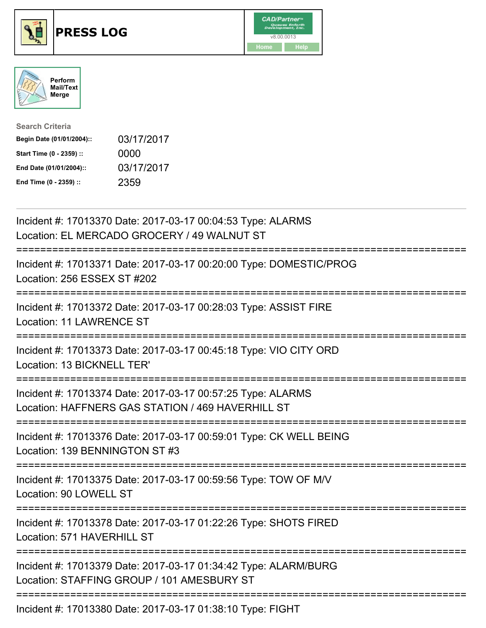





| <b>Search Criteria</b>    |            |
|---------------------------|------------|
| Begin Date (01/01/2004):: | 03/17/2017 |
| Start Time (0 - 2359) ::  | 0000       |
| End Date (01/01/2004)::   | 03/17/2017 |
| End Time (0 - 2359) ::    | 2359       |

| Incident #: 17013370 Date: 2017-03-17 00:04:53 Type: ALARMS<br>Location: EL MERCADO GROCERY / 49 WALNUT ST                                            |
|-------------------------------------------------------------------------------------------------------------------------------------------------------|
| Incident #: 17013371 Date: 2017-03-17 00:20:00 Type: DOMESTIC/PROG<br>Location: 256 ESSEX ST #202                                                     |
| Incident #: 17013372 Date: 2017-03-17 00:28:03 Type: ASSIST FIRE<br><b>Location: 11 LAWRENCE ST</b><br>===============                                |
| Incident #: 17013373 Date: 2017-03-17 00:45:18 Type: VIO CITY ORD<br>Location: 13 BICKNELL TER'<br>===============                                    |
| Incident #: 17013374 Date: 2017-03-17 00:57:25 Type: ALARMS<br>Location: HAFFNERS GAS STATION / 469 HAVERHILL ST<br>--------------------------------- |
| Incident #: 17013376 Date: 2017-03-17 00:59:01 Type: CK WELL BEING<br>Location: 139 BENNINGTON ST #3<br>.-----------------------<br>-----------       |
| Incident #: 17013375 Date: 2017-03-17 00:59:56 Type: TOW OF M/V<br>Location: 90 LOWELL ST                                                             |
| Incident #: 17013378 Date: 2017-03-17 01:22:26 Type: SHOTS FIRED<br>Location: 571 HAVERHILL ST                                                        |
| Incident #: 17013379 Date: 2017-03-17 01:34:42 Type: ALARM/BURG<br>Location: STAFFING GROUP / 101 AMESBURY ST                                         |
| Incident #: 17013380 Date: 2017-03-17 01:38:10 Type: FIGHT                                                                                            |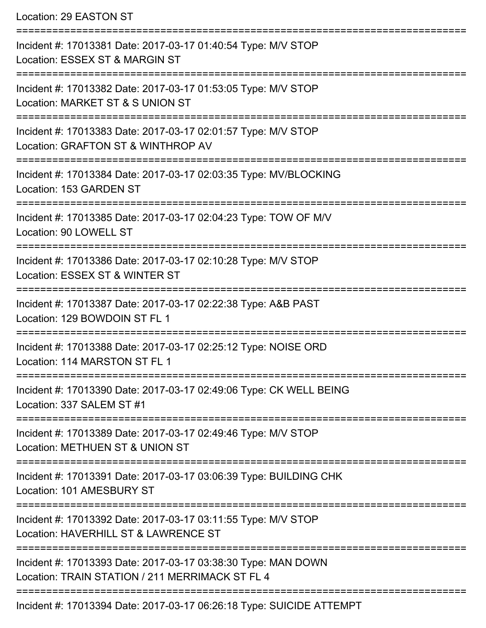Location: 29 EASTON ST =========================================================================== Incident #: 17013381 Date: 2017-03-17 01:40:54 Type: M/V STOP Location: ESSEX ST & MARGIN ST =========================================================================== Incident #: 17013382 Date: 2017-03-17 01:53:05 Type: M/V STOP Location: MARKET ST & S UNION ST =========================================================================== Incident #: 17013383 Date: 2017-03-17 02:01:57 Type: M/V STOP Location: GRAFTON ST & WINTHROP AV =========================================================================== Incident #: 17013384 Date: 2017-03-17 02:03:35 Type: MV/BLOCKING Location: 153 GARDEN ST =========================================================================== Incident #: 17013385 Date: 2017-03-17 02:04:23 Type: TOW OF M/V Location: 90 LOWELL ST =========================================================================== Incident #: 17013386 Date: 2017-03-17 02:10:28 Type: M/V STOP Location: ESSEX ST & WINTER ST =========================================================================== Incident #: 17013387 Date: 2017-03-17 02:22:38 Type: A&B PAST Location: 129 BOWDOIN ST FL 1 =========================================================================== Incident #: 17013388 Date: 2017-03-17 02:25:12 Type: NOISE ORD Location: 114 MARSTON ST FL 1 =========================================================================== Incident #: 17013390 Date: 2017-03-17 02:49:06 Type: CK WELL BEING Location: 337 SALEM ST #1 =========================================================================== Incident #: 17013389 Date: 2017-03-17 02:49:46 Type: M/V STOP Location: METHUEN ST & UNION ST =========================================================================== Incident #: 17013391 Date: 2017-03-17 03:06:39 Type: BUILDING CHK Location: 101 AMESBURY ST =========================================================================== Incident #: 17013392 Date: 2017-03-17 03:11:55 Type: M/V STOP Location: HAVERHILL ST & LAWRENCE ST =========================================================================== Incident #: 17013393 Date: 2017-03-17 03:38:30 Type: MAN DOWN Location: TRAIN STATION / 211 MERRIMACK ST FL 4 ===========================================================================

Incident #: 17013394 Date: 2017-03-17 06:26:18 Type: SUICIDE ATTEMPT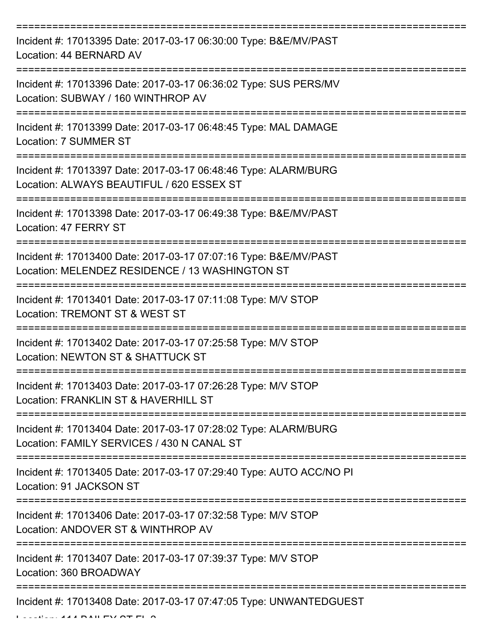| Incident #: 17013395 Date: 2017-03-17 06:30:00 Type: B&E/MV/PAST<br>Location: 44 BERNARD AV                                      |
|----------------------------------------------------------------------------------------------------------------------------------|
| Incident #: 17013396 Date: 2017-03-17 06:36:02 Type: SUS PERS/MV<br>Location: SUBWAY / 160 WINTHROP AV                           |
| Incident #: 17013399 Date: 2017-03-17 06:48:45 Type: MAL DAMAGE<br>Location: 7 SUMMER ST                                         |
| Incident #: 17013397 Date: 2017-03-17 06:48:46 Type: ALARM/BURG<br>Location: ALWAYS BEAUTIFUL / 620 ESSEX ST                     |
| Incident #: 17013398 Date: 2017-03-17 06:49:38 Type: B&E/MV/PAST<br>Location: 47 FERRY ST                                        |
| Incident #: 17013400 Date: 2017-03-17 07:07:16 Type: B&E/MV/PAST<br>Location: MELENDEZ RESIDENCE / 13 WASHINGTON ST              |
| Incident #: 17013401 Date: 2017-03-17 07:11:08 Type: M/V STOP<br>Location: TREMONT ST & WEST ST                                  |
| Incident #: 17013402 Date: 2017-03-17 07:25:58 Type: M/V STOP<br>Location: NEWTON ST & SHATTUCK ST                               |
| Incident #: 17013403 Date: 2017-03-17 07:26:28 Type: M/V STOP<br>Location: FRANKLIN ST & HAVERHILL ST                            |
| Incident #: 17013404 Date: 2017-03-17 07:28:02 Type: ALARM/BURG<br>Location: FAMILY SERVICES / 430 N CANAL ST                    |
| Incident #: 17013405 Date: 2017-03-17 07:29:40 Type: AUTO ACC/NO PI<br>Location: 91 JACKSON ST<br>============================== |
| Incident #: 17013406 Date: 2017-03-17 07:32:58 Type: M/V STOP<br>Location: ANDOVER ST & WINTHROP AV                              |
| Incident #: 17013407 Date: 2017-03-17 07:39:37 Type: M/V STOP<br>Location: 360 BROADWAY                                          |
| Incident #: 17013408 Date: 2017-03-17 07:47:05 Type: UNWANTEDGUEST                                                               |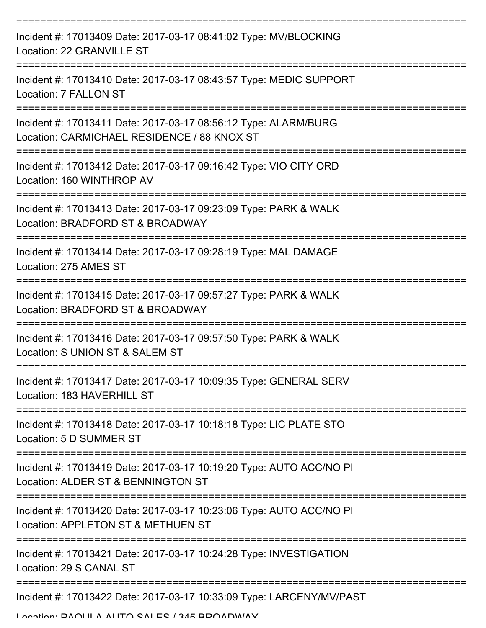| Incident #: 17013409 Date: 2017-03-17 08:41:02 Type: MV/BLOCKING<br>Location: 22 GRANVILLE ST                                      |
|------------------------------------------------------------------------------------------------------------------------------------|
| Incident #: 17013410 Date: 2017-03-17 08:43:57 Type: MEDIC SUPPORT<br>Location: 7 FALLON ST                                        |
| Incident #: 17013411 Date: 2017-03-17 08:56:12 Type: ALARM/BURG<br>Location: CARMICHAEL RESIDENCE / 88 KNOX ST                     |
| Incident #: 17013412 Date: 2017-03-17 09:16:42 Type: VIO CITY ORD<br>Location: 160 WINTHROP AV                                     |
| Incident #: 17013413 Date: 2017-03-17 09:23:09 Type: PARK & WALK<br>Location: BRADFORD ST & BROADWAY                               |
| Incident #: 17013414 Date: 2017-03-17 09:28:19 Type: MAL DAMAGE<br>Location: 275 AMES ST                                           |
| Incident #: 17013415 Date: 2017-03-17 09:57:27 Type: PARK & WALK<br>Location: BRADFORD ST & BROADWAY                               |
| Incident #: 17013416 Date: 2017-03-17 09:57:50 Type: PARK & WALK<br>Location: S UNION ST & SALEM ST                                |
| Incident #: 17013417 Date: 2017-03-17 10:09:35 Type: GENERAL SERV<br>Location: 183 HAVERHILL ST                                    |
| Incident #: 17013418 Date: 2017-03-17 10:18:18 Type: LIC PLATE STO<br>Location: 5 D SUMMER ST                                      |
| =====================<br>Incident #: 17013419 Date: 2017-03-17 10:19:20 Type: AUTO ACC/NO PI<br>Location: ALDER ST & BENNINGTON ST |
| Incident #: 17013420 Date: 2017-03-17 10:23:06 Type: AUTO ACC/NO PI<br>Location: APPLETON ST & METHUEN ST                          |
| Incident #: 17013421 Date: 2017-03-17 10:24:28 Type: INVESTIGATION<br>Location: 29 S CANAL ST                                      |
| Incident #: 17013422 Date: 2017-03-17 10:33:09 Type: LARCENY/MV/PAST                                                               |

Location: PAOULA AUTO SALES / 345 BROADWAY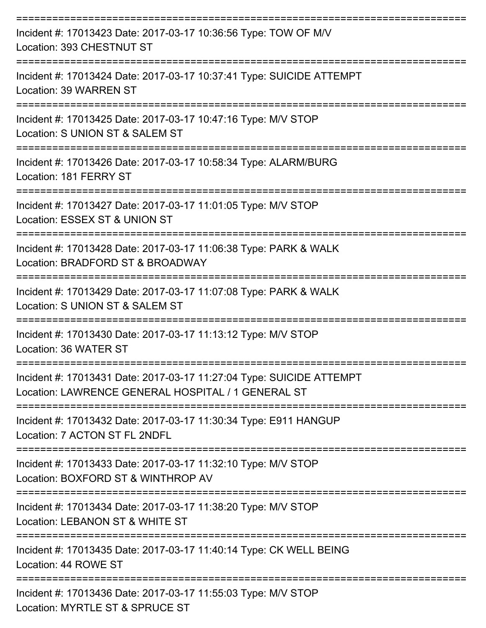| Incident #: 17013423 Date: 2017-03-17 10:36:56 Type: TOW OF M/V<br>Location: 393 CHESTNUT ST                               |
|----------------------------------------------------------------------------------------------------------------------------|
| Incident #: 17013424 Date: 2017-03-17 10:37:41 Type: SUICIDE ATTEMPT<br>Location: 39 WARREN ST                             |
| Incident #: 17013425 Date: 2017-03-17 10:47:16 Type: M/V STOP<br>Location: S UNION ST & SALEM ST                           |
| Incident #: 17013426 Date: 2017-03-17 10:58:34 Type: ALARM/BURG<br>Location: 181 FERRY ST                                  |
| Incident #: 17013427 Date: 2017-03-17 11:01:05 Type: M/V STOP<br>Location: ESSEX ST & UNION ST                             |
| Incident #: 17013428 Date: 2017-03-17 11:06:38 Type: PARK & WALK<br>Location: BRADFORD ST & BROADWAY                       |
| Incident #: 17013429 Date: 2017-03-17 11:07:08 Type: PARK & WALK<br>Location: S UNION ST & SALEM ST                        |
| Incident #: 17013430 Date: 2017-03-17 11:13:12 Type: M/V STOP<br>Location: 36 WATER ST                                     |
| Incident #: 17013431 Date: 2017-03-17 11:27:04 Type: SUICIDE ATTEMPT<br>Location: LAWRENCE GENERAL HOSPITAL / 1 GENERAL ST |
| Incident #: 17013432 Date: 2017-03-17 11:30:34 Type: E911 HANGUP<br>Location: 7 ACTON ST FL 2NDFL                          |
| Incident #: 17013433 Date: 2017-03-17 11:32:10 Type: M/V STOP<br>Location: BOXFORD ST & WINTHROP AV                        |
| Incident #: 17013434 Date: 2017-03-17 11:38:20 Type: M/V STOP<br>Location: LEBANON ST & WHITE ST                           |
| Incident #: 17013435 Date: 2017-03-17 11:40:14 Type: CK WELL BEING<br>Location: 44 ROWE ST                                 |
| Incident #: 17013436 Date: 2017-03-17 11:55:03 Type: M/V STOP<br>Location: MYRTLE ST & SPRUCE ST                           |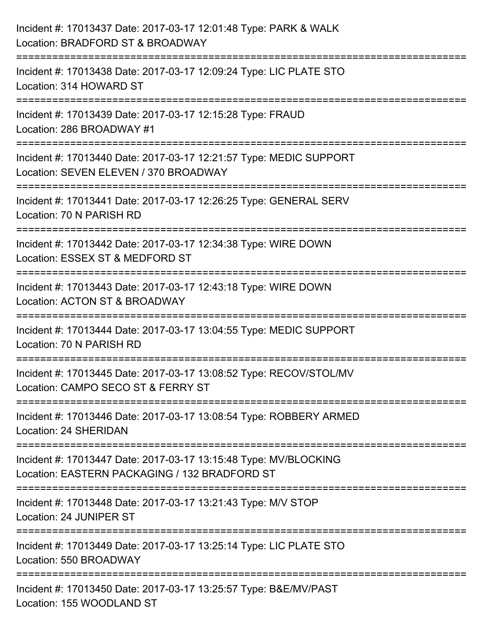| Incident #: 17013437 Date: 2017-03-17 12:01:48 Type: PARK & WALK<br>Location: BRADFORD ST & BROADWAY                          |
|-------------------------------------------------------------------------------------------------------------------------------|
| :=====================<br>Incident #: 17013438 Date: 2017-03-17 12:09:24 Type: LIC PLATE STO<br>Location: 314 HOWARD ST       |
| Incident #: 17013439 Date: 2017-03-17 12:15:28 Type: FRAUD<br>Location: 286 BROADWAY #1<br>=================================  |
| Incident #: 17013440 Date: 2017-03-17 12:21:57 Type: MEDIC SUPPORT<br>Location: SEVEN ELEVEN / 370 BROADWAY                   |
| Incident #: 17013441 Date: 2017-03-17 12:26:25 Type: GENERAL SERV<br>Location: 70 N PARISH RD<br>---------------------------- |
| Incident #: 17013442 Date: 2017-03-17 12:34:38 Type: WIRE DOWN<br>Location: ESSEX ST & MEDFORD ST                             |
| Incident #: 17013443 Date: 2017-03-17 12:43:18 Type: WIRE DOWN<br>Location: ACTON ST & BROADWAY                               |
| Incident #: 17013444 Date: 2017-03-17 13:04:55 Type: MEDIC SUPPORT<br>Location: 70 N PARISH RD                                |
| Incident #: 17013445 Date: 2017-03-17 13:08:52 Type: RECOV/STOL/MV<br>Location: CAMPO SECO ST & FERRY ST                      |
| Incident #: 17013446 Date: 2017-03-17 13:08:54 Type: ROBBERY ARMED<br>Location: 24 SHERIDAN                                   |
| Incident #: 17013447 Date: 2017-03-17 13:15:48 Type: MV/BLOCKING<br>Location: EASTERN PACKAGING / 132 BRADFORD ST             |
| Incident #: 17013448 Date: 2017-03-17 13:21:43 Type: M/V STOP<br>Location: 24 JUNIPER ST                                      |
| Incident #: 17013449 Date: 2017-03-17 13:25:14 Type: LIC PLATE STO<br>Location: 550 BROADWAY                                  |
| Incident #: 17013450 Date: 2017-03-17 13:25:57 Type: B&E/MV/PAST<br>Location: 155 WOODLAND ST                                 |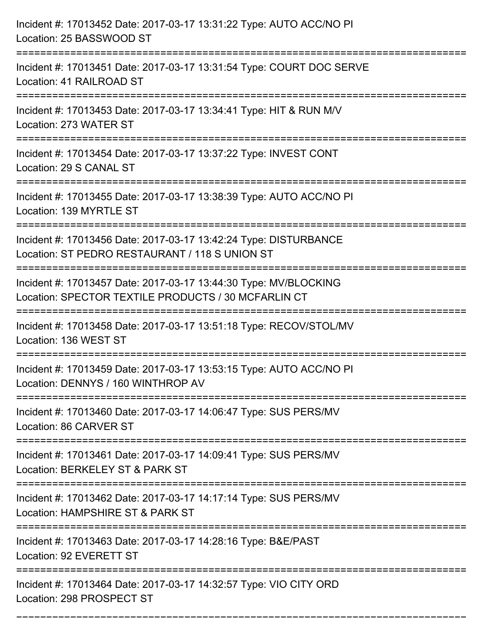| Incident #: 17013452 Date: 2017-03-17 13:31:22 Type: AUTO ACC/NO PI<br>Location: 25 BASSWOOD ST<br>:======================                     |
|------------------------------------------------------------------------------------------------------------------------------------------------|
| Incident #: 17013451 Date: 2017-03-17 13:31:54 Type: COURT DOC SERVE<br>Location: 41 RAILROAD ST                                               |
| Incident #: 17013453 Date: 2017-03-17 13:34:41 Type: HIT & RUN M/V<br>Location: 273 WATER ST                                                   |
| Incident #: 17013454 Date: 2017-03-17 13:37:22 Type: INVEST CONT<br>Location: 29 S CANAL ST                                                    |
| Incident #: 17013455 Date: 2017-03-17 13:38:39 Type: AUTO ACC/NO PI<br>Location: 139 MYRTLE ST                                                 |
| Incident #: 17013456 Date: 2017-03-17 13:42:24 Type: DISTURBANCE<br>Location: ST PEDRO RESTAURANT / 118 S UNION ST                             |
| Incident #: 17013457 Date: 2017-03-17 13:44:30 Type: MV/BLOCKING<br>Location: SPECTOR TEXTILE PRODUCTS / 30 MCFARLIN CT<br>=================== |
| Incident #: 17013458 Date: 2017-03-17 13:51:18 Type: RECOV/STOL/MV<br>Location: 136 WEST ST                                                    |
| Incident #: 17013459 Date: 2017-03-17 13:53:15 Type: AUTO ACC/NO PI<br>Location: DENNYS / 160 WINTHROP AV                                      |
| Incident #: 17013460 Date: 2017-03-17 14:06:47 Type: SUS PERS/MV<br>Location: 86 CARVER ST                                                     |
| Incident #: 17013461 Date: 2017-03-17 14:09:41 Type: SUS PERS/MV<br>Location: BERKELEY ST & PARK ST                                            |
| Incident #: 17013462 Date: 2017-03-17 14:17:14 Type: SUS PERS/MV<br>Location: HAMPSHIRE ST & PARK ST                                           |
| Incident #: 17013463 Date: 2017-03-17 14:28:16 Type: B&E/PAST<br>Location: 92 EVERETT ST                                                       |
| Incident #: 17013464 Date: 2017-03-17 14:32:57 Type: VIO CITY ORD<br>Location: 298 PROSPECT ST                                                 |

===========================================================================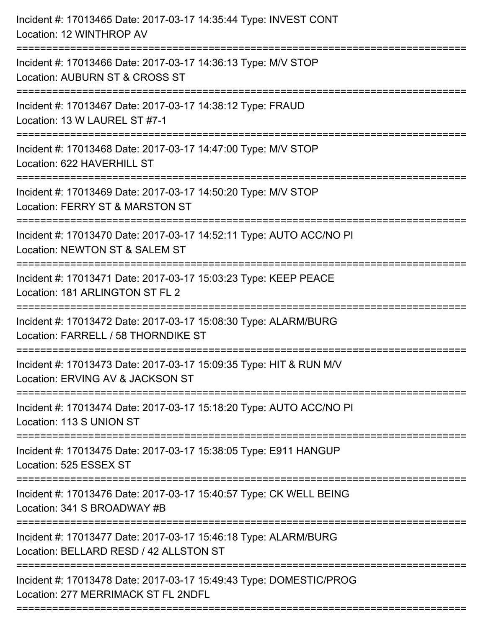| Incident #: 17013465 Date: 2017-03-17 14:35:44 Type: INVEST CONT<br>Location: 12 WINTHROP AV              |
|-----------------------------------------------------------------------------------------------------------|
| Incident #: 17013466 Date: 2017-03-17 14:36:13 Type: M/V STOP<br>Location: AUBURN ST & CROSS ST           |
| Incident #: 17013467 Date: 2017-03-17 14:38:12 Type: FRAUD<br>Location: 13 W LAUREL ST #7-1               |
| Incident #: 17013468 Date: 2017-03-17 14:47:00 Type: M/V STOP<br>Location: 622 HAVERHILL ST               |
| Incident #: 17013469 Date: 2017-03-17 14:50:20 Type: M/V STOP<br>Location: FERRY ST & MARSTON ST          |
| Incident #: 17013470 Date: 2017-03-17 14:52:11 Type: AUTO ACC/NO PI<br>Location: NEWTON ST & SALEM ST     |
| Incident #: 17013471 Date: 2017-03-17 15:03:23 Type: KEEP PEACE<br>Location: 181 ARLINGTON ST FL 2        |
| Incident #: 17013472 Date: 2017-03-17 15:08:30 Type: ALARM/BURG<br>Location: FARRELL / 58 THORNDIKE ST    |
| Incident #: 17013473 Date: 2017-03-17 15:09:35 Type: HIT & RUN M/V<br>Location: ERVING AV & JACKSON ST    |
| Incident #: 17013474 Date: 2017-03-17 15:18:20 Type: AUTO ACC/NO PI<br>Location: 113 S UNION ST           |
| Incident #: 17013475 Date: 2017-03-17 15:38:05 Type: E911 HANGUP<br>Location: 525 ESSEX ST                |
| Incident #: 17013476 Date: 2017-03-17 15:40:57 Type: CK WELL BEING<br>Location: 341 S BROADWAY #B         |
| Incident #: 17013477 Date: 2017-03-17 15:46:18 Type: ALARM/BURG<br>Location: BELLARD RESD / 42 ALLSTON ST |
| Incident #: 17013478 Date: 2017-03-17 15:49:43 Type: DOMESTIC/PROG<br>Location: 277 MERRIMACK ST FL 2NDFL |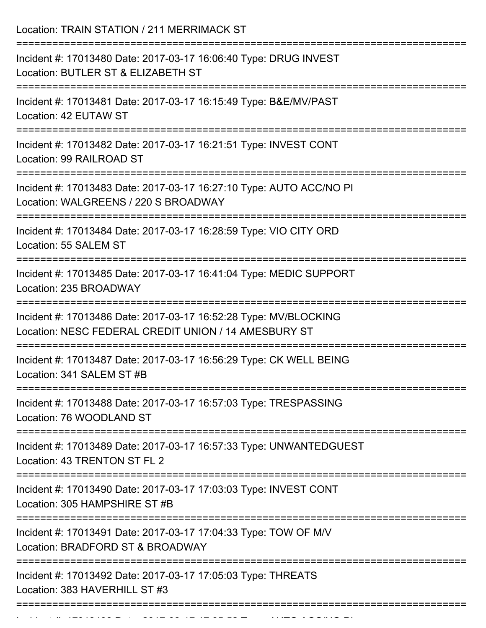Location: TRAIN STATION / 211 MERRIMACK ST

| Incident #: 17013480 Date: 2017-03-17 16:06:40 Type: DRUG INVEST<br>Location: BUTLER ST & ELIZABETH ST                   |
|--------------------------------------------------------------------------------------------------------------------------|
| Incident #: 17013481 Date: 2017-03-17 16:15:49 Type: B&E/MV/PAST<br>Location: 42 EUTAW ST                                |
| Incident #: 17013482 Date: 2017-03-17 16:21:51 Type: INVEST CONT<br>Location: 99 RAILROAD ST                             |
| Incident #: 17013483 Date: 2017-03-17 16:27:10 Type: AUTO ACC/NO PI<br>Location: WALGREENS / 220 S BROADWAY              |
| Incident #: 17013484 Date: 2017-03-17 16:28:59 Type: VIO CITY ORD<br>Location: 55 SALEM ST                               |
| Incident #: 17013485 Date: 2017-03-17 16:41:04 Type: MEDIC SUPPORT<br>Location: 235 BROADWAY                             |
| Incident #: 17013486 Date: 2017-03-17 16:52:28 Type: MV/BLOCKING<br>Location: NESC FEDERAL CREDIT UNION / 14 AMESBURY ST |
| Incident #: 17013487 Date: 2017-03-17 16:56:29 Type: CK WELL BEING<br>Location: 341 SALEM ST #B                          |
| Incident #: 17013488 Date: 2017-03-17 16:57:03 Type: TRESPASSING<br>Location: 76 WOODLAND ST                             |
| ==================<br>Incident #: 17013489 Date: 2017-03-17 16:57:33 Type: UNWANTEDGUEST<br>Location: 43 TRENTON ST FL 2 |
| Incident #: 17013490 Date: 2017-03-17 17:03:03 Type: INVEST CONT<br>Location: 305 HAMPSHIRE ST #B                        |
| Incident #: 17013491 Date: 2017-03-17 17:04:33 Type: TOW OF M/V<br>Location: BRADFORD ST & BROADWAY                      |
| Incident #: 17013492 Date: 2017-03-17 17:05:03 Type: THREATS<br>Location: 383 HAVERHILL ST #3                            |
|                                                                                                                          |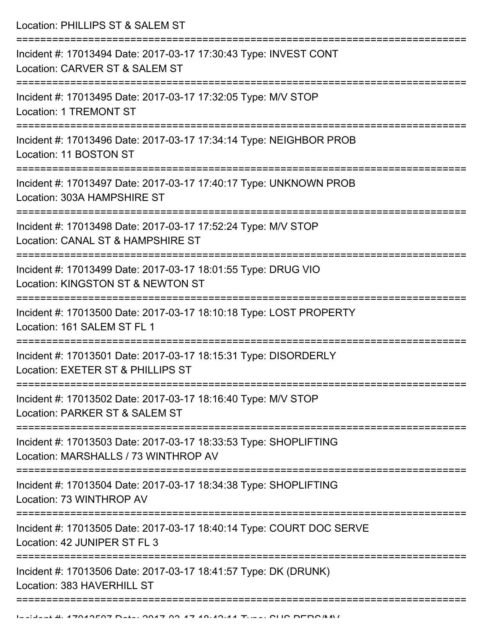Location: PHILLIPS ST & SALEM ST

| Incident #: 17013494 Date: 2017-03-17 17:30:43 Type: INVEST CONT<br>Location: CARVER ST & SALEM ST       |
|----------------------------------------------------------------------------------------------------------|
| Incident #: 17013495 Date: 2017-03-17 17:32:05 Type: M/V STOP<br><b>Location: 1 TREMONT ST</b>           |
| Incident #: 17013496 Date: 2017-03-17 17:34:14 Type: NEIGHBOR PROB<br>Location: 11 BOSTON ST             |
| Incident #: 17013497 Date: 2017-03-17 17:40:17 Type: UNKNOWN PROB<br>Location: 303A HAMPSHIRE ST         |
| Incident #: 17013498 Date: 2017-03-17 17:52:24 Type: M/V STOP<br>Location: CANAL ST & HAMPSHIRE ST       |
| Incident #: 17013499 Date: 2017-03-17 18:01:55 Type: DRUG VIO<br>Location: KINGSTON ST & NEWTON ST       |
| Incident #: 17013500 Date: 2017-03-17 18:10:18 Type: LOST PROPERTY<br>Location: 161 SALEM ST FL 1        |
| Incident #: 17013501 Date: 2017-03-17 18:15:31 Type: DISORDERLY<br>Location: EXETER ST & PHILLIPS ST     |
| Incident #: 17013502 Date: 2017-03-17 18:16:40 Type: M/V STOP<br>Location: PARKER ST & SALEM ST          |
| Incident #: 17013503 Date: 2017-03-17 18:33:53 Type: SHOPLIFTING<br>Location: MARSHALLS / 73 WINTHROP AV |
| Incident #: 17013504 Date: 2017-03-17 18:34:38 Type: SHOPLIFTING<br>Location: 73 WINTHROP AV             |
| Incident #: 17013505 Date: 2017-03-17 18:40:14 Type: COURT DOC SERVE<br>Location: 42 JUNIPER ST FL 3     |
| Incident #: 17013506 Date: 2017-03-17 18:41:57 Type: DK (DRUNK)<br>Location: 383 HAVERHILL ST            |
|                                                                                                          |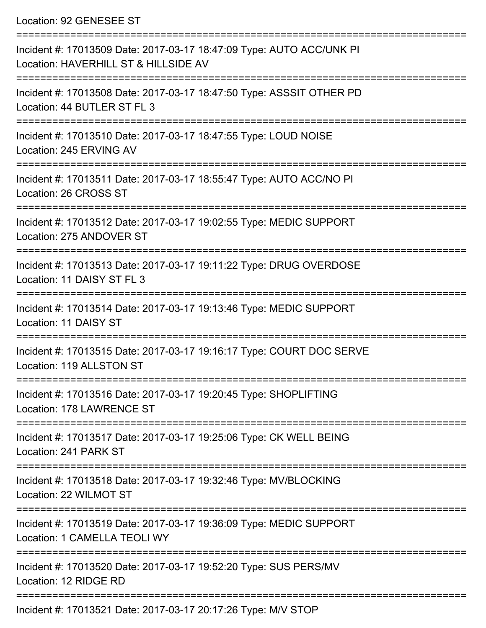Location: 92 GENESEE ST

| Incident #: 17013509 Date: 2017-03-17 18:47:09 Type: AUTO ACC/UNK PI<br>Location: HAVERHILL ST & HILLSIDE AV |
|--------------------------------------------------------------------------------------------------------------|
| Incident #: 17013508 Date: 2017-03-17 18:47:50 Type: ASSSIT OTHER PD<br>Location: 44 BUTLER ST FL 3          |
| Incident #: 17013510 Date: 2017-03-17 18:47:55 Type: LOUD NOISE<br>Location: 245 ERVING AV                   |
| Incident #: 17013511 Date: 2017-03-17 18:55:47 Type: AUTO ACC/NO PI<br>Location: 26 CROSS ST                 |
| Incident #: 17013512 Date: 2017-03-17 19:02:55 Type: MEDIC SUPPORT<br>Location: 275 ANDOVER ST               |
| Incident #: 17013513 Date: 2017-03-17 19:11:22 Type: DRUG OVERDOSE<br>Location: 11 DAISY ST FL 3             |
| Incident #: 17013514 Date: 2017-03-17 19:13:46 Type: MEDIC SUPPORT<br>Location: 11 DAISY ST                  |
| Incident #: 17013515 Date: 2017-03-17 19:16:17 Type: COURT DOC SERVE<br>Location: 119 ALLSTON ST             |
| Incident #: 17013516 Date: 2017-03-17 19:20:45 Type: SHOPLIFTING<br>Location: 178 LAWRENCE ST                |
| Incident #: 17013517 Date: 2017-03-17 19:25:06 Type: CK WELL BEING<br>Location: 241 PARK ST                  |
| Incident #: 17013518 Date: 2017-03-17 19:32:46 Type: MV/BLOCKING<br>Location: 22 WILMOT ST                   |
| Incident #: 17013519 Date: 2017-03-17 19:36:09 Type: MEDIC SUPPORT<br>Location: 1 CAMELLA TEOLI WY           |
| Incident #: 17013520 Date: 2017-03-17 19:52:20 Type: SUS PERS/MV<br>Location: 12 RIDGE RD                    |
|                                                                                                              |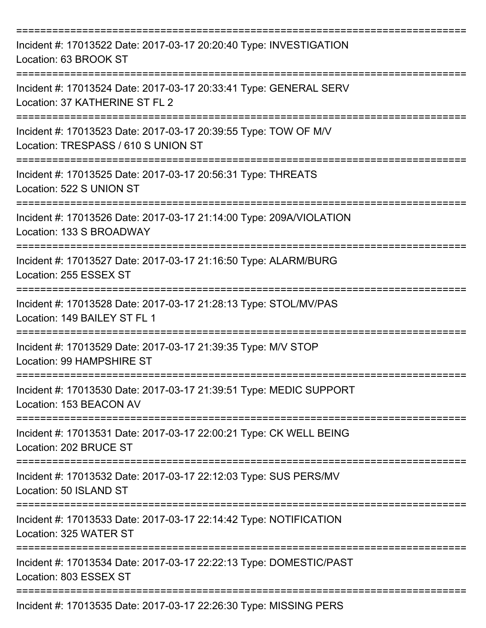| Incident #: 17013522 Date: 2017-03-17 20:20:40 Type: INVESTIGATION<br>Location: 63 BROOK ST                         |
|---------------------------------------------------------------------------------------------------------------------|
| Incident #: 17013524 Date: 2017-03-17 20:33:41 Type: GENERAL SERV<br>Location: 37 KATHERINE ST FL 2                 |
| Incident #: 17013523 Date: 2017-03-17 20:39:55 Type: TOW OF M/V<br>Location: TRESPASS / 610 S UNION ST              |
| Incident #: 17013525 Date: 2017-03-17 20:56:31 Type: THREATS<br>Location: 522 S UNION ST                            |
| Incident #: 17013526 Date: 2017-03-17 21:14:00 Type: 209A/VIOLATION<br>Location: 133 S BROADWAY                     |
| Incident #: 17013527 Date: 2017-03-17 21:16:50 Type: ALARM/BURG<br>Location: 255 ESSEX ST                           |
| Incident #: 17013528 Date: 2017-03-17 21:28:13 Type: STOL/MV/PAS<br>Location: 149 BAILEY ST FL 1                    |
| Incident #: 17013529 Date: 2017-03-17 21:39:35 Type: M/V STOP<br>Location: 99 HAMPSHIRE ST                          |
| Incident #: 17013530 Date: 2017-03-17 21:39:51 Type: MEDIC SUPPORT<br>Location: 153 BEACON AV                       |
| :==================<br>Incident #: 17013531 Date: 2017-03-17 22:00:21 Type: CK WELL BEING<br>Location: 202 BRUCE ST |
| Incident #: 17013532 Date: 2017-03-17 22:12:03 Type: SUS PERS/MV<br>Location: 50 ISLAND ST                          |
| Incident #: 17013533 Date: 2017-03-17 22:14:42 Type: NOTIFICATION<br>Location: 325 WATER ST                         |
| Incident #: 17013534 Date: 2017-03-17 22:22:13 Type: DOMESTIC/PAST<br>Location: 803 ESSEX ST                        |
| Incident #: 17013535 Date: 2017-03-17 22:26:30 Type: MISSING PERS                                                   |